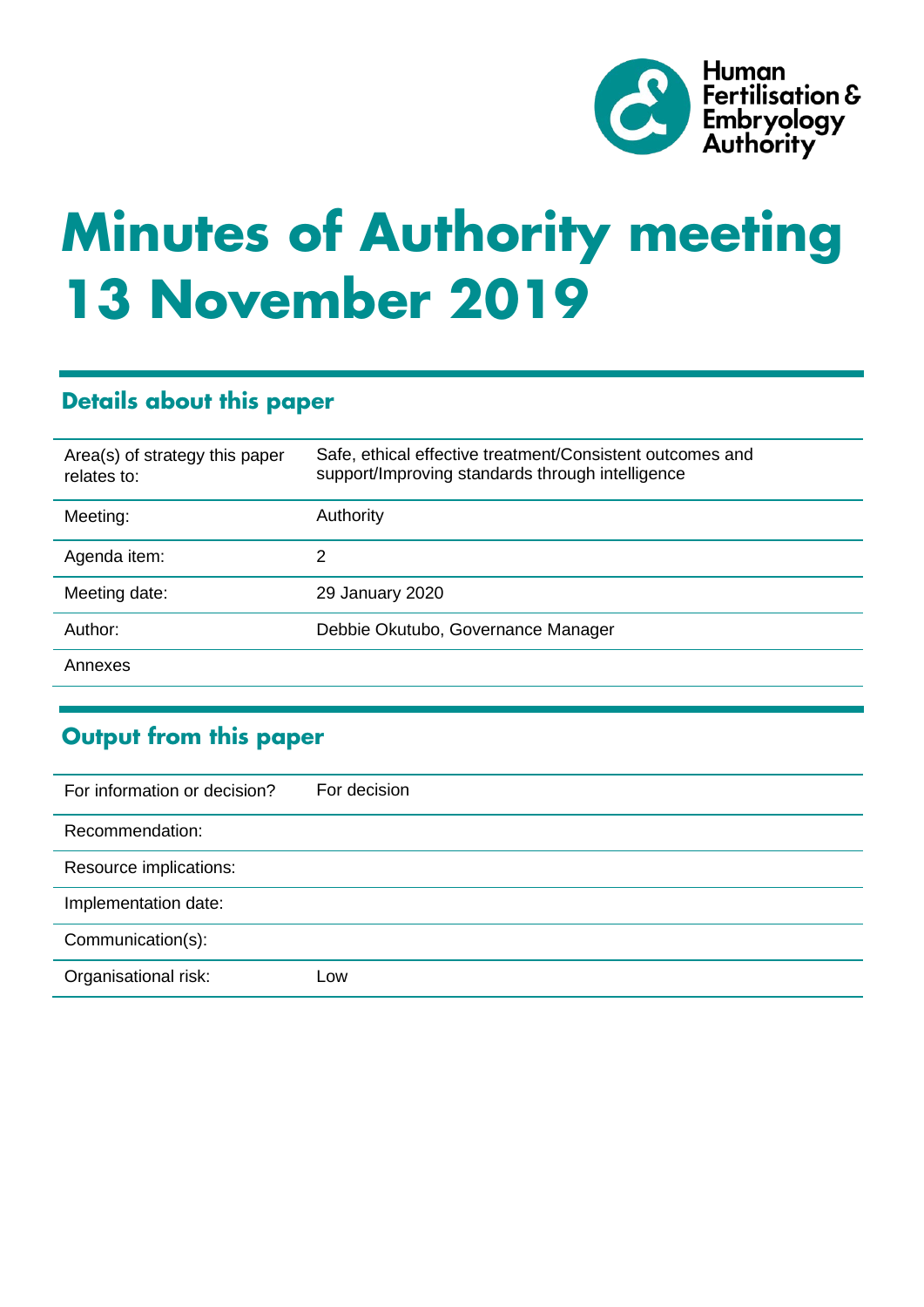

# **Minutes of Authority meeting 13 November 2019**

# **Details about this paper**

| Area(s) of strategy this paper<br>relates to: | Safe, ethical effective treatment/Consistent outcomes and<br>support/Improving standards through intelligence |
|-----------------------------------------------|---------------------------------------------------------------------------------------------------------------|
| Meeting:                                      | Authority                                                                                                     |
| Agenda item:                                  | 2                                                                                                             |
| Meeting date:                                 | 29 January 2020                                                                                               |
| Author:                                       | Debbie Okutubo, Governance Manager                                                                            |
| Annexes                                       |                                                                                                               |

# **Output from this paper**

| For information or decision? | For decision |
|------------------------------|--------------|
| Recommendation:              |              |
| Resource implications:       |              |
| Implementation date:         |              |
| Communication(s):            |              |
| Organisational risk:         | Low          |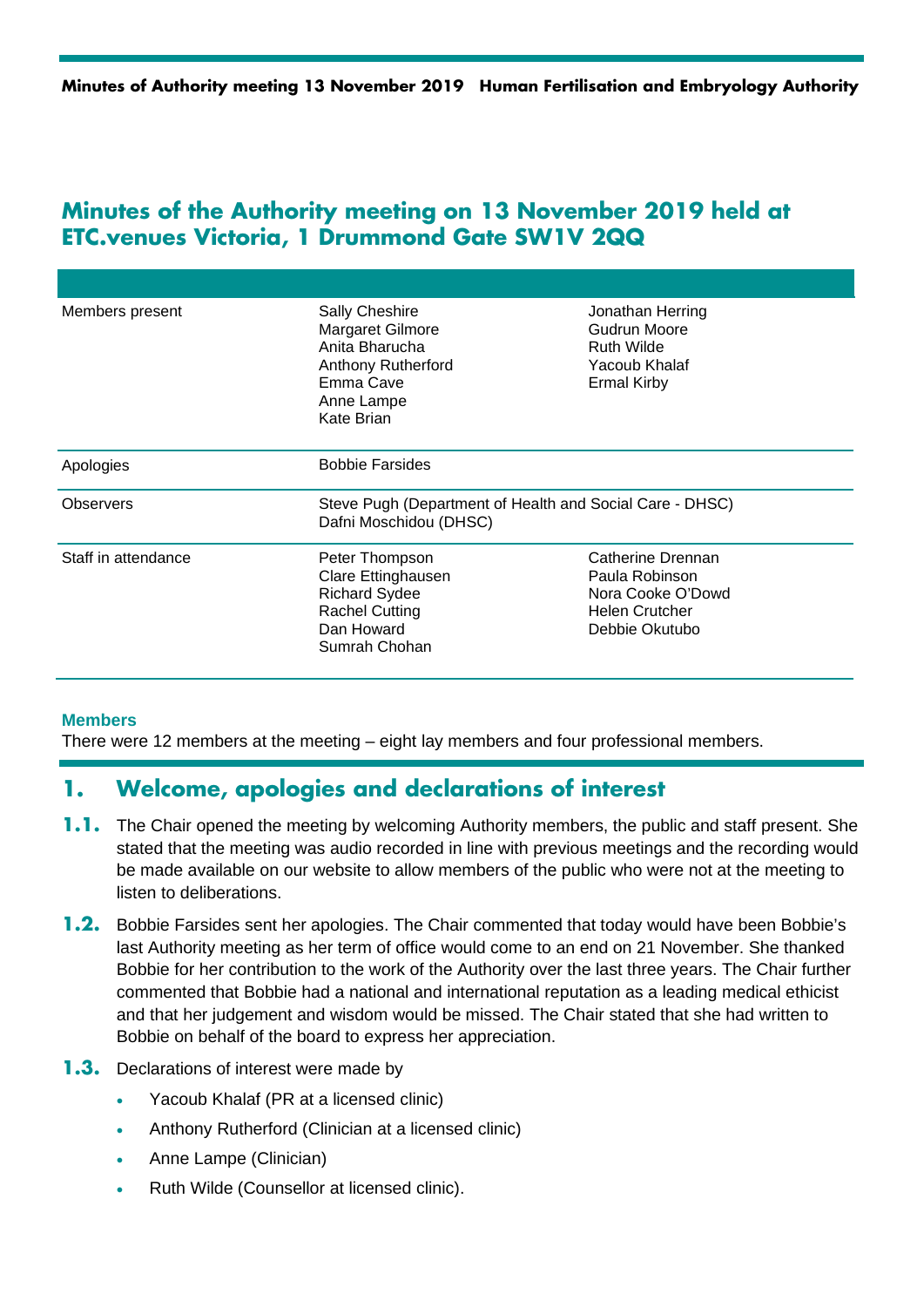# **Minutes of the Authority meeting on 13 November 2019 held at ETC.venues Victoria, 1 Drummond Gate SW1V 2QQ**

| Members present     | Sally Cheshire<br>Margaret Gilmore<br>Anita Bharucha<br><b>Anthony Rutherford</b><br>Emma Cave<br>Anne Lampe<br>Kate Brian | Jonathan Herring<br>Gudrun Moore<br><b>Ruth Wilde</b><br>Yacoub Khalaf<br><b>Ermal Kirby</b>        |
|---------------------|----------------------------------------------------------------------------------------------------------------------------|-----------------------------------------------------------------------------------------------------|
| Apologies           | <b>Bobbie Farsides</b>                                                                                                     |                                                                                                     |
| <b>Observers</b>    | Steve Pugh (Department of Health and Social Care - DHSC)<br>Dafni Moschidou (DHSC)                                         |                                                                                                     |
| Staff in attendance | Peter Thompson<br>Clare Ettinghausen<br><b>Richard Sydee</b><br><b>Rachel Cutting</b><br>Dan Howard<br>Sumrah Chohan       | Catherine Drennan<br>Paula Robinson<br>Nora Cooke O'Dowd<br><b>Helen Crutcher</b><br>Debbie Okutubo |

#### **Members**

There were 12 members at the meeting – eight lay members and four professional members.

## **1. Welcome, apologies and declarations of interest**

- **1.1.** The Chair opened the meeting by welcoming Authority members, the public and staff present. She stated that the meeting was audio recorded in line with previous meetings and the recording would be made available on our website to allow members of the public who were not at the meeting to listen to deliberations.
- **1.2.** Bobbie Farsides sent her apologies. The Chair commented that today would have been Bobbie's last Authority meeting as her term of office would come to an end on 21 November. She thanked Bobbie for her contribution to the work of the Authority over the last three years. The Chair further commented that Bobbie had a national and international reputation as a leading medical ethicist and that her judgement and wisdom would be missed. The Chair stated that she had written to Bobbie on behalf of the board to express her appreciation.
- **1.3.** Declarations of interest were made by
	- Yacoub Khalaf (PR at a licensed clinic)
	- Anthony Rutherford (Clinician at a licensed clinic)
	- Anne Lampe (Clinician)
	- Ruth Wilde (Counsellor at licensed clinic).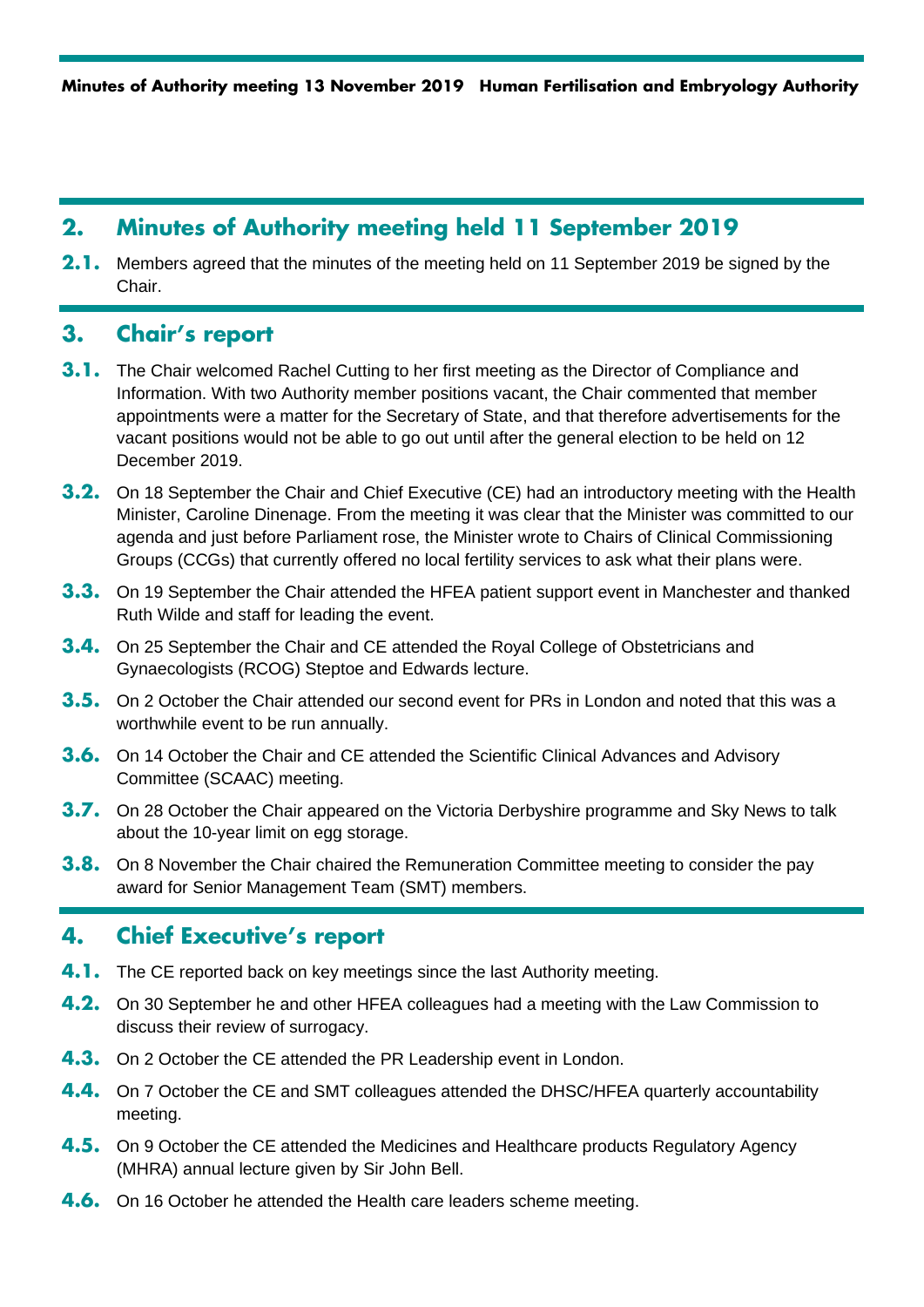# **2. Minutes of Authority meeting held 11 September 2019**

**2.1.** Members agreed that the minutes of the meeting held on 11 September 2019 be signed by the Chair.

# **3. Chair's report**

- **3.1.** The Chair welcomed Rachel Cutting to her first meeting as the Director of Compliance and Information. With two Authority member positions vacant, the Chair commented that member appointments were a matter for the Secretary of State, and that therefore advertisements for the vacant positions would not be able to go out until after the general election to be held on 12 December 2019.
- **3.2.** On 18 September the Chair and Chief Executive (CE) had an introductory meeting with the Health Minister, Caroline Dinenage. From the meeting it was clear that the Minister was committed to our agenda and just before Parliament rose, the Minister wrote to Chairs of Clinical Commissioning Groups (CCGs) that currently offered no local fertility services to ask what their plans were.
- **3.3.** On 19 September the Chair attended the HFEA patient support event in Manchester and thanked Ruth Wilde and staff for leading the event.
- **3.4.** On 25 September the Chair and CE attended the Royal College of Obstetricians and Gynaecologists (RCOG) Steptoe and Edwards lecture.
- **3.5.** On 2 October the Chair attended our second event for PRs in London and noted that this was a worthwhile event to be run annually.
- **3.6.** On 14 October the Chair and CE attended the Scientific Clinical Advances and Advisory Committee (SCAAC) meeting.
- **3.7.** On 28 October the Chair appeared on the Victoria Derbyshire programme and Sky News to talk about the 10-year limit on egg storage.
- **3.8.** On 8 November the Chair chaired the Remuneration Committee meeting to consider the pay award for Senior Management Team (SMT) members.

# **4. Chief Executive's report**

- **4.1.** The CE reported back on key meetings since the last Authority meeting.
- **4.2.** On 30 September he and other HFEA colleagues had a meeting with the Law Commission to discuss their review of surrogacy.
- **4.3.** On 2 October the CE attended the PR Leadership event in London.
- **4.4.** On 7 October the CE and SMT colleagues attended the DHSC/HFEA quarterly accountability meeting.
- **4.5.** On 9 October the CE attended the Medicines and Healthcare products Regulatory Agency (MHRA) annual lecture given by Sir John Bell.
- **4.6.** On 16 October he attended the Health care leaders scheme meeting.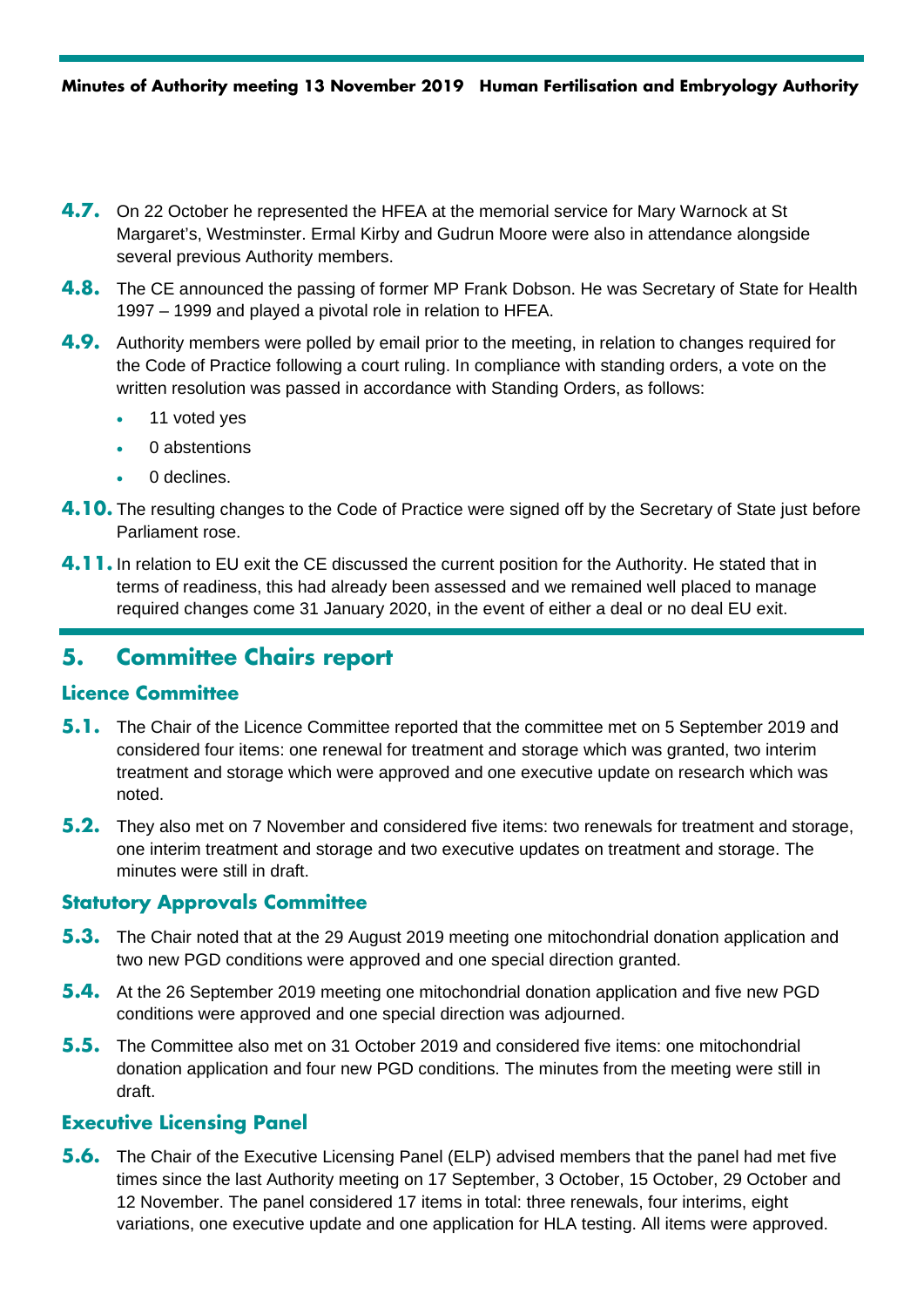- **4.7.** On 22 October he represented the HFEA at the memorial service for Mary Warnock at St Margaret's, Westminster. Ermal Kirby and Gudrun Moore were also in attendance alongside several previous Authority members.
- **4.8.** The CE announced the passing of former MP Frank Dobson. He was Secretary of State for Health 1997 – 1999 and played a pivotal role in relation to HFEA.
- **4.9.** Authority members were polled by email prior to the meeting, in relation to changes required for the Code of Practice following a court ruling. In compliance with standing orders, a vote on the written resolution was passed in accordance with Standing Orders, as follows:
	- 11 voted ves
	- 0 abstentions
	- 0 declines.
- **4.10.** The resulting changes to the Code of Practice were signed off by the Secretary of State just before Parliament rose.
- **4.11.** In relation to EU exit the CE discussed the current position for the Authority. He stated that in terms of readiness, this had already been assessed and we remained well placed to manage required changes come 31 January 2020, in the event of either a deal or no deal EU exit.

# **5. Committee Chairs report**

## **Licence Committee**

- **5.1.** The Chair of the Licence Committee reported that the committee met on 5 September 2019 and considered four items: one renewal for treatment and storage which was granted, two interim treatment and storage which were approved and one executive update on research which was noted.
- **5.2.** They also met on 7 November and considered five items: two renewals for treatment and storage, one interim treatment and storage and two executive updates on treatment and storage. The minutes were still in draft.

## **Statutory Approvals Committee**

- **5.3.** The Chair noted that at the 29 August 2019 meeting one mitochondrial donation application and two new PGD conditions were approved and one special direction granted.
- **5.4.** At the 26 September 2019 meeting one mitochondrial donation application and five new PGD conditions were approved and one special direction was adjourned.
- **5.5.** The Committee also met on 31 October 2019 and considered five items: one mitochondrial donation application and four new PGD conditions. The minutes from the meeting were still in draft.

## **Executive Licensing Panel**

**5.6.** The Chair of the Executive Licensing Panel (ELP) advised members that the panel had met five times since the last Authority meeting on 17 September, 3 October, 15 October, 29 October and 12 November. The panel considered 17 items in total: three renewals, four interims, eight variations, one executive update and one application for HLA testing. All items were approved.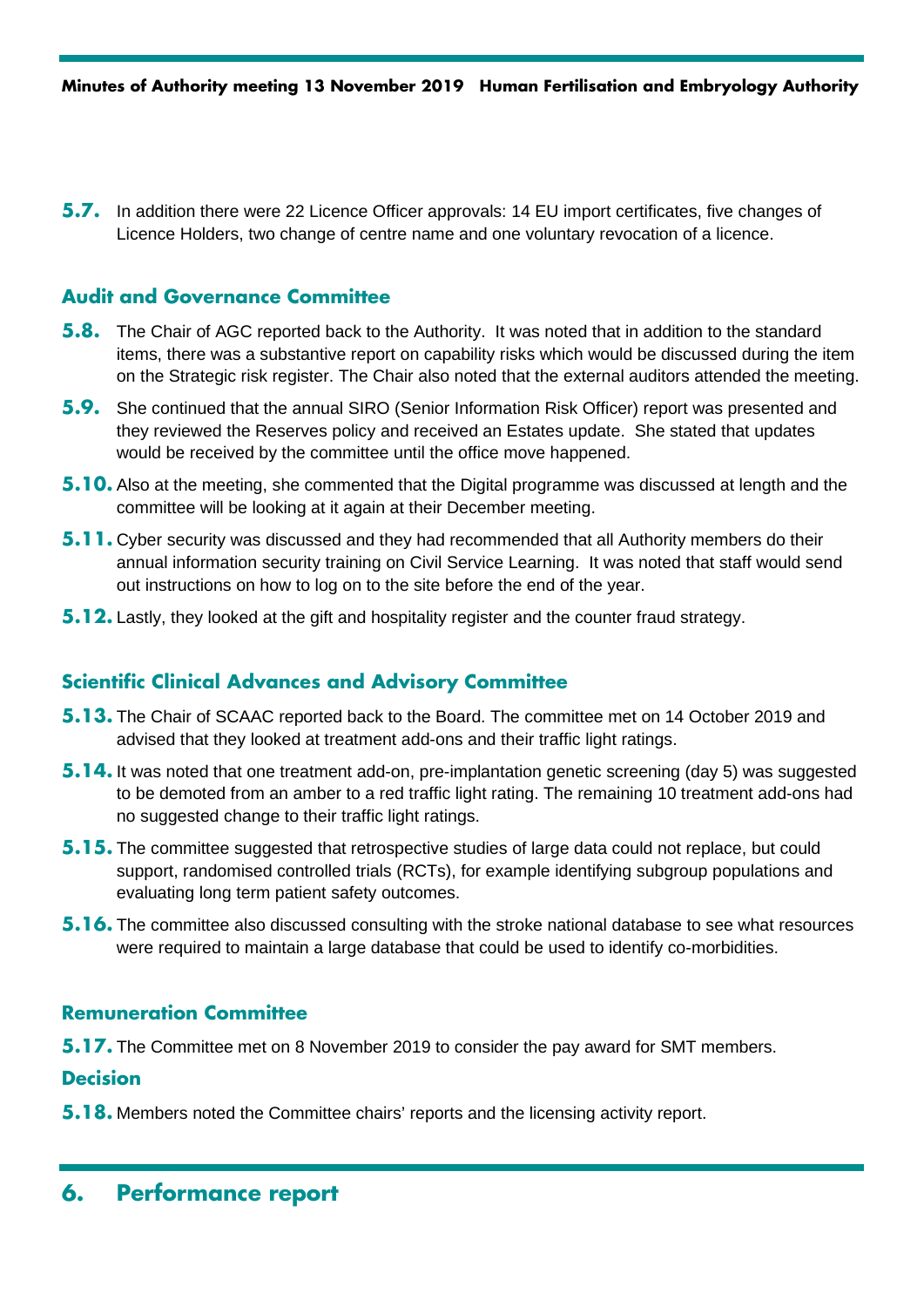**5.7.** In addition there were 22 Licence Officer approvals: 14 EU import certificates, five changes of Licence Holders, two change of centre name and one voluntary revocation of a licence.

## **Audit and Governance Committee**

- **5.8.** The Chair of AGC reported back to the Authority. It was noted that in addition to the standard items, there was a substantive report on capability risks which would be discussed during the item on the Strategic risk register. The Chair also noted that the external auditors attended the meeting.
- **5.9.** She continued that the annual SIRO (Senior Information Risk Officer) report was presented and they reviewed the Reserves policy and received an Estates update. She stated that updates would be received by the committee until the office move happened.
- **5.10.** Also at the meeting, she commented that the Digital programme was discussed at length and the committee will be looking at it again at their December meeting.
- **5.11.** Cyber security was discussed and they had recommended that all Authority members do their annual information security training on Civil Service Learning. It was noted that staff would send out instructions on how to log on to the site before the end of the year.
- **5.12.** Lastly, they looked at the gift and hospitality register and the counter fraud strategy.

## **Scientific Clinical Advances and Advisory Committee**

- **5.13.** The Chair of SCAAC reported back to the Board. The committee met on 14 October 2019 and advised that they looked at treatment add-ons and their traffic light ratings.
- **5.14.** It was noted that one treatment add-on, pre-implantation genetic screening (day 5) was suggested to be demoted from an amber to a red traffic light rating. The remaining 10 treatment add-ons had no suggested change to their traffic light ratings.
- **5.15.** The committee suggested that retrospective studies of large data could not replace, but could support, randomised controlled trials (RCTs), for example identifying subgroup populations and evaluating long term patient safety outcomes.
- **5.16.** The committee also discussed consulting with the stroke national database to see what resources were required to maintain a large database that could be used to identify co-morbidities.

## **Remuneration Committee**

**5.17.** The Committee met on 8 November 2019 to consider the pay award for SMT members.

#### **Decision**

**5.18.** Members noted the Committee chairs' reports and the licensing activity report.

# **6. Performance report**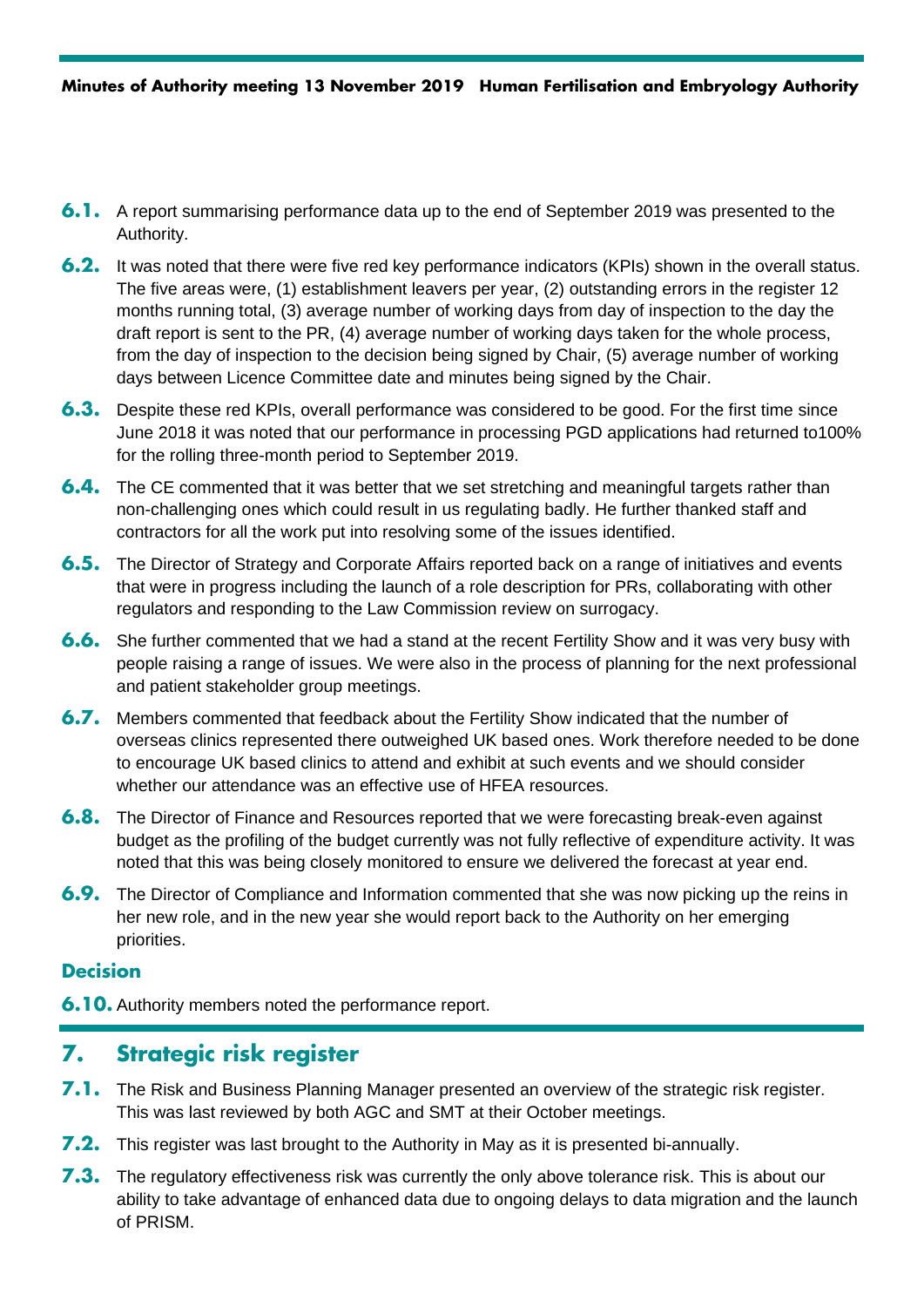- **6.1.** A report summarising performance data up to the end of September 2019 was presented to the Authority.
- **6.2.** It was noted that there were five red key performance indicators (KPIs) shown in the overall status. The five areas were, (1) establishment leavers per year, (2) outstanding errors in the register 12 months running total, (3) average number of working days from day of inspection to the day the draft report is sent to the PR, (4) average number of working days taken for the whole process, from the day of inspection to the decision being signed by Chair, (5) average number of working days between Licence Committee date and minutes being signed by the Chair.
- **6.3.** Despite these red KPIs, overall performance was considered to be good. For the first time since June 2018 it was noted that our performance in processing PGD applications had returned to100% for the rolling three-month period to September 2019.
- **6.4.** The CE commented that it was better that we set stretching and meaningful targets rather than non-challenging ones which could result in us regulating badly. He further thanked staff and contractors for all the work put into resolving some of the issues identified.
- **6.5.** The Director of Strategy and Corporate Affairs reported back on a range of initiatives and events that were in progress including the launch of a role description for PRs, collaborating with other regulators and responding to the Law Commission review on surrogacy.
- **6.6.** She further commented that we had a stand at the recent Fertility Show and it was very busy with people raising a range of issues. We were also in the process of planning for the next professional and patient stakeholder group meetings.
- **6.7.** Members commented that feedback about the Fertility Show indicated that the number of overseas clinics represented there outweighed UK based ones. Work therefore needed to be done to encourage UK based clinics to attend and exhibit at such events and we should consider whether our attendance was an effective use of HFEA resources.
- **6.8.** The Director of Finance and Resources reported that we were forecasting break-even against budget as the profiling of the budget currently was not fully reflective of expenditure activity. It was noted that this was being closely monitored to ensure we delivered the forecast at year end.
- **6.9.** The Director of Compliance and Information commented that she was now picking up the reins in her new role, and in the new year she would report back to the Authority on her emerging priorities.

**6.10.** Authority members noted the performance report.

# **7. Strategic risk register**

- **7.1.** The Risk and Business Planning Manager presented an overview of the strategic risk register. This was last reviewed by both AGC and SMT at their October meetings.
- **7.2.** This register was last brought to the Authority in May as it is presented bi-annually.
- **7.3.** The regulatory effectiveness risk was currently the only above tolerance risk. This is about our ability to take advantage of enhanced data due to ongoing delays to data migration and the launch of PRISM.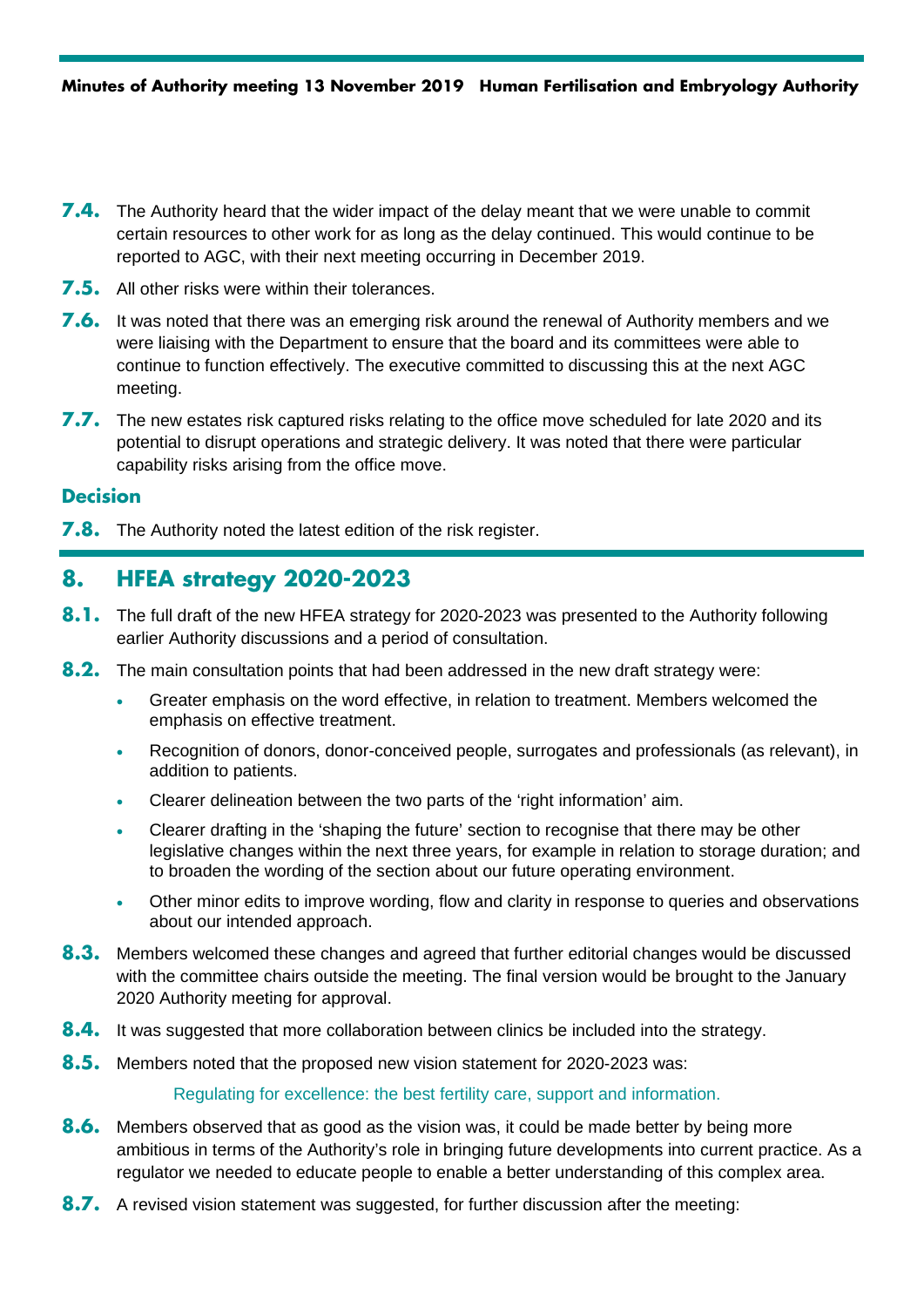- **7.4.** The Authority heard that the wider impact of the delay meant that we were unable to commit certain resources to other work for as long as the delay continued. This would continue to be reported to AGC, with their next meeting occurring in December 2019.
- **7.5.** All other risks were within their tolerances.
- **7.6.** It was noted that there was an emerging risk around the renewal of Authority members and we were liaising with the Department to ensure that the board and its committees were able to continue to function effectively. The executive committed to discussing this at the next AGC meeting.
- **7.7.** The new estates risk captured risks relating to the office move scheduled for late 2020 and its potential to disrupt operations and strategic delivery. It was noted that there were particular capability risks arising from the office move.

**7.8.** The Authority noted the latest edition of the risk register.

# **8. HFEA strategy 2020-2023**

- **8.1.** The full draft of the new HFEA strategy for 2020-2023 was presented to the Authority following earlier Authority discussions and a period of consultation.
- **8.2.** The main consultation points that had been addressed in the new draft strategy were:
	- Greater emphasis on the word effective, in relation to treatment. Members welcomed the emphasis on effective treatment.
	- Recognition of donors, donor-conceived people, surrogates and professionals (as relevant), in addition to patients.
	- Clearer delineation between the two parts of the 'right information' aim.
	- Clearer drafting in the 'shaping the future' section to recognise that there may be other legislative changes within the next three years, for example in relation to storage duration; and to broaden the wording of the section about our future operating environment.
	- Other minor edits to improve wording, flow and clarity in response to queries and observations about our intended approach.
- **8.3.** Members welcomed these changes and agreed that further editorial changes would be discussed with the committee chairs outside the meeting. The final version would be brought to the January 2020 Authority meeting for approval.
- **8.4.** It was suggested that more collaboration between clinics be included into the strategy.
- **8.5.** Members noted that the proposed new vision statement for 2020-2023 was:

Regulating for excellence: the best fertility care, support and information.

- **8.6.** Members observed that as good as the vision was, it could be made better by being more ambitious in terms of the Authority's role in bringing future developments into current practice. As a regulator we needed to educate people to enable a better understanding of this complex area.
- **8.7.** A revised vision statement was suggested, for further discussion after the meeting: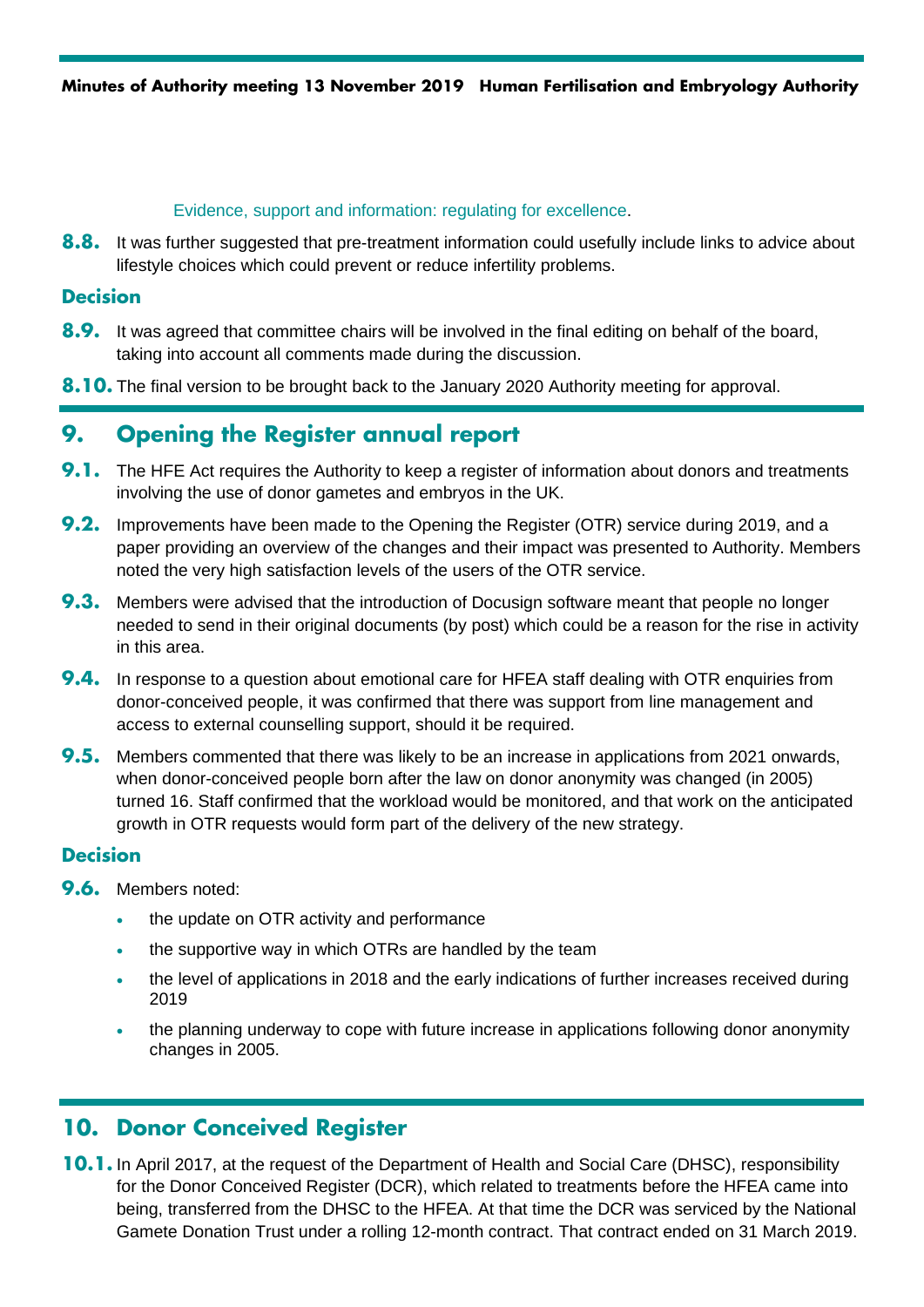#### Evidence, support and information: regulating for excellence.

**8.8.** It was further suggested that pre-treatment information could usefully include links to advice about lifestyle choices which could prevent or reduce infertility problems.

## **Decision**

- **8.9.** It was agreed that committee chairs will be involved in the final editing on behalf of the board, taking into account all comments made during the discussion.
- **8.10.** The final version to be brought back to the January 2020 Authority meeting for approval.

# **9. Opening the Register annual report**

- **9.1.** The HFE Act requires the Authority to keep a register of information about donors and treatments involving the use of donor gametes and embryos in the UK.
- **9.2.** Improvements have been made to the Opening the Register (OTR) service during 2019, and a paper providing an overview of the changes and their impact was presented to Authority. Members noted the very high satisfaction levels of the users of the OTR service.
- **9.3.** Members were advised that the introduction of Docusign software meant that people no longer needed to send in their original documents (by post) which could be a reason for the rise in activity in this area.
- **9.4.** In response to a question about emotional care for HFEA staff dealing with OTR enquiries from donor-conceived people, it was confirmed that there was support from line management and access to external counselling support, should it be required.
- **9.5.** Members commented that there was likely to be an increase in applications from 2021 onwards, when donor-conceived people born after the law on donor anonymity was changed (in 2005) turned 16. Staff confirmed that the workload would be monitored, and that work on the anticipated growth in OTR requests would form part of the delivery of the new strategy.

## **Decision**

- **9.6.** Members noted:
	- the update on OTR activity and performance
	- the supportive way in which OTRs are handled by the team
	- the level of applications in 2018 and the early indications of further increases received during 2019
	- the planning underway to cope with future increase in applications following donor anonymity changes in 2005.

# **10. Donor Conceived Register**

**10.1.** In April 2017, at the request of the Department of Health and Social Care (DHSC), responsibility for the Donor Conceived Register (DCR), which related to treatments before the HFEA came into being, transferred from the DHSC to the HFEA. At that time the DCR was serviced by the National Gamete Donation Trust under a rolling 12-month contract. That contract ended on 31 March 2019.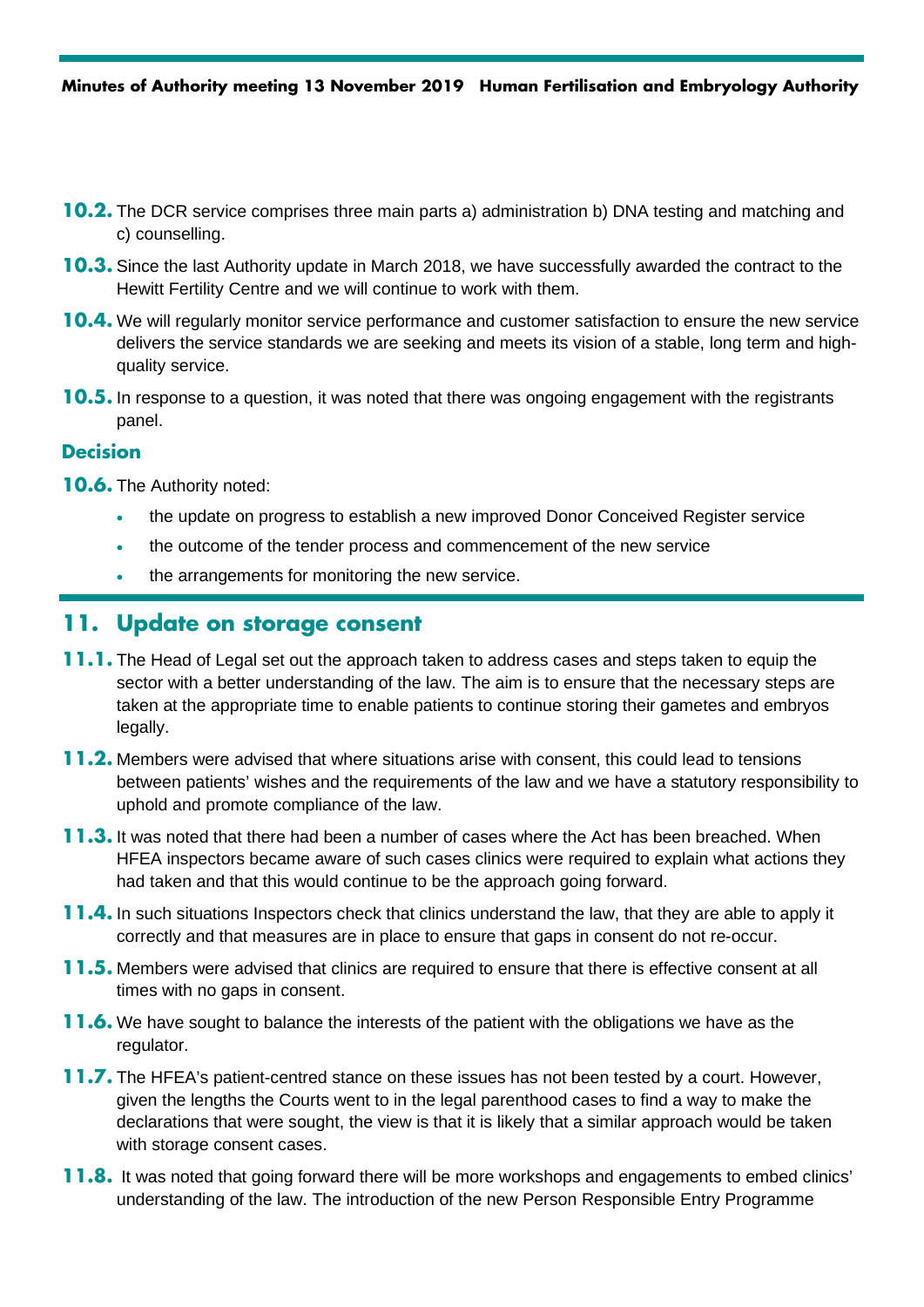- **10.2.** The DCR service comprises three main parts a) administration b) DNA testing and matching and c) counselling.
- **10.3.** Since the last Authority update in March 2018, we have successfully awarded the contract to the Hewitt Fertility Centre and we will continue to work with them.
- **10.4.** We will regularly monitor service performance and customer satisfaction to ensure the new service delivers the service standards we are seeking and meets its vision of a stable, long term and highquality service.
- **10.5.** In response to a question, it was noted that there was ongoing engagement with the registrants panel.

**10.6.** The Authority noted:

- the update on progress to establish a new improved Donor Conceived Register service
- the outcome of the tender process and commencement of the new service
- the arrangements for monitoring the new service.

## **11. Update on storage consent**

- **11.1.** The Head of Legal set out the approach taken to address cases and steps taken to equip the sector with a better understanding of the law. The aim is to ensure that the necessary steps are taken at the appropriate time to enable patients to continue storing their gametes and embryos legally.
- **11.2.** Members were advised that where situations arise with consent, this could lead to tensions between patients' wishes and the requirements of the law and we have a statutory responsibility to uphold and promote compliance of the law.
- **11.3.** It was noted that there had been a number of cases where the Act has been breached. When HFEA inspectors became aware of such cases clinics were required to explain what actions they had taken and that this would continue to be the approach going forward.
- **11.4.** In such situations Inspectors check that clinics understand the law, that they are able to apply it correctly and that measures are in place to ensure that gaps in consent do not re-occur.
- **11.5.** Members were advised that clinics are required to ensure that there is effective consent at all times with no gaps in consent.
- **11.6.** We have sought to balance the interests of the patient with the obligations we have as the regulator.
- **11.7.** The HFEA's patient-centred stance on these issues has not been tested by a court. However, given the lengths the Courts went to in the legal parenthood cases to find a way to make the declarations that were sought, the view is that it is likely that a similar approach would be taken with storage consent cases.
- **11.8.** It was noted that going forward there will be more workshops and engagements to embed clinics' understanding of the law. The introduction of the new Person Responsible Entry Programme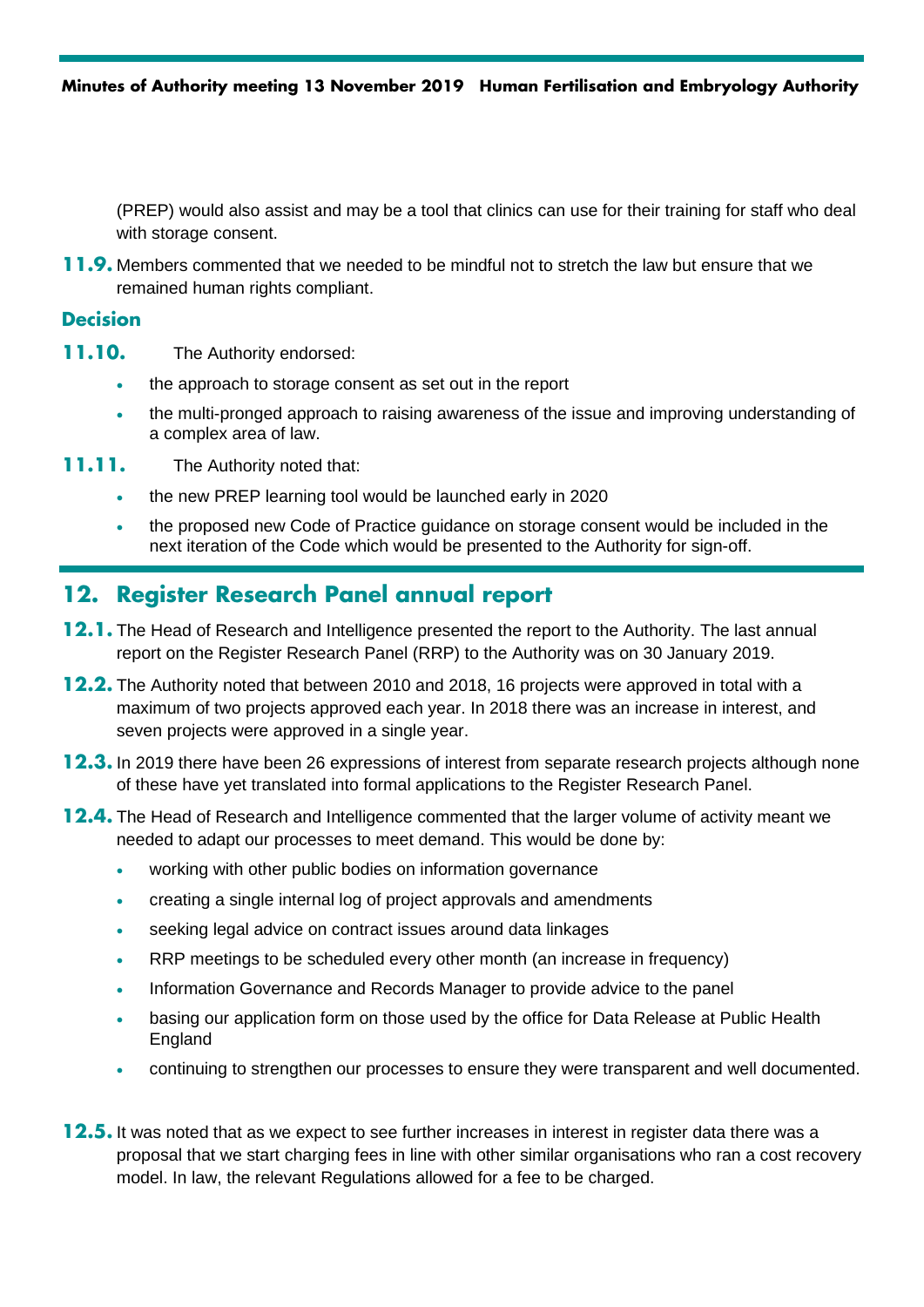(PREP) would also assist and may be a tool that clinics can use for their training for staff who deal with storage consent.

**11.9.** Members commented that we needed to be mindful not to stretch the law but ensure that we remained human rights compliant.

#### **Decision**

- **11.10.** The Authority endorsed:
	- the approach to storage consent as set out in the report
	- the multi-pronged approach to raising awareness of the issue and improving understanding of a complex area of law.
- **11.11.** The Authority noted that:
	- the new PREP learning tool would be launched early in 2020
	- the proposed new Code of Practice quidance on storage consent would be included in the next iteration of the Code which would be presented to the Authority for sign-off.

# **12. Register Research Panel annual report**

- **12.1.** The Head of Research and Intelligence presented the report to the Authority. The last annual report on the Register Research Panel (RRP) to the Authority was on 30 January 2019.
- **12.2.** The Authority noted that between 2010 and 2018, 16 projects were approved in total with a maximum of two projects approved each year. In 2018 there was an increase in interest, and seven projects were approved in a single year.
- **12.3.** In 2019 there have been 26 expressions of interest from separate research projects although none of these have yet translated into formal applications to the Register Research Panel.
- **12.4.** The Head of Research and Intelligence commented that the larger volume of activity meant we needed to adapt our processes to meet demand. This would be done by:
	- working with other public bodies on information governance
	- creating a single internal log of project approvals and amendments
	- seeking legal advice on contract issues around data linkages
	- RRP meetings to be scheduled every other month (an increase in frequency)
	- Information Governance and Records Manager to provide advice to the panel
	- basing our application form on those used by the office for Data Release at Public Health England
	- continuing to strengthen our processes to ensure they were transparent and well documented.
- **12.5.** It was noted that as we expect to see further increases in interest in register data there was a proposal that we start charging fees in line with other similar organisations who ran a cost recovery model. In law, the relevant Regulations allowed for a fee to be charged.